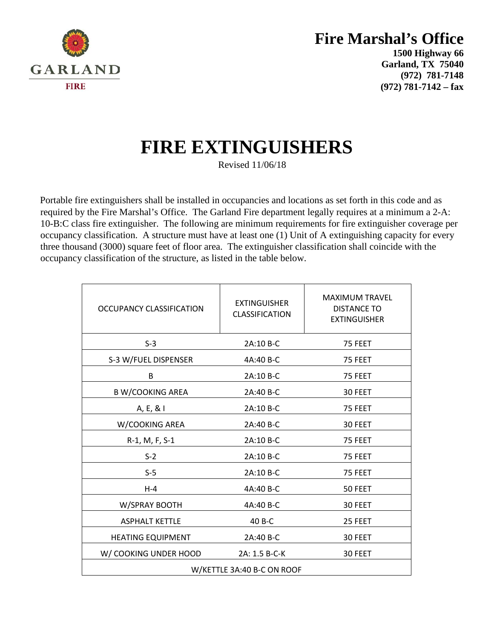

### **Fire Marshal's Office**

**1500 Highway 66 Garland, TX 75040 (972) 781-7148 (972) 781-7142 – fax**

# **FIRE EXTINGUISHERS**

Revised 11/06/18

Portable fire extinguishers shall be installed in occupancies and locations as set forth in this code and as required by the Fire Marshal's Office. The Garland Fire department legally requires at a minimum a 2-A: 10-B:C class fire extinguisher. The following are minimum requirements for fire extinguisher coverage per occupancy classification. A structure must have at least one (1) Unit of A extinguishing capacity for every three thousand (3000) square feet of floor area. The extinguisher classification shall coincide with the occupancy classification of the structure, as listed in the table below.

| OCCUPANCY CLASSIFICATION   | <b>EXTINGUISHER</b><br><b>CLASSIFICATION</b> | <b>MAXIMUM TRAVEL</b><br><b>DISTANCE TO</b><br><b>EXTINGUISHER</b> |
|----------------------------|----------------------------------------------|--------------------------------------------------------------------|
| $S-3$                      | 2A:10 B-C                                    | 75 FEET                                                            |
| S-3 W/FUEL DISPENSER       | 4A:40 B-C                                    | 75 FEET                                                            |
| В                          | 2A:10 B-C                                    | 75 FEET                                                            |
| <b>B W/COOKING AREA</b>    | 2A:40 B-C                                    | 30 FEET                                                            |
| A, E, & I                  | 2A:10 B-C                                    | 75 FEET                                                            |
| W/COOKING AREA             | 2A:40 B-C                                    | 30 FEET                                                            |
| R-1, M, F, S-1             | 2A:10 B-C                                    | 75 FEET                                                            |
| $S-2$                      | 2A:10 B-C                                    | 75 FEET                                                            |
| $S-5$                      | 2A:10 B-C                                    | 75 FEET                                                            |
| $H - 4$                    | 4A:40 B-C                                    | 50 FEET                                                            |
| W/SPRAY BOOTH              | 4A:40 B-C                                    | 30 FEET                                                            |
| <b>ASPHALT KETTLE</b>      | 40 B-C                                       | 25 FEET                                                            |
| <b>HEATING EQUIPMENT</b>   | 2A:40 B-C                                    | 30 FEET                                                            |
| W/ COOKING UNDER HOOD      | 2A: 1.5 B-C-K                                | 30 FEET                                                            |
| W/KETTLE 3A:40 B-C ON ROOF |                                              |                                                                    |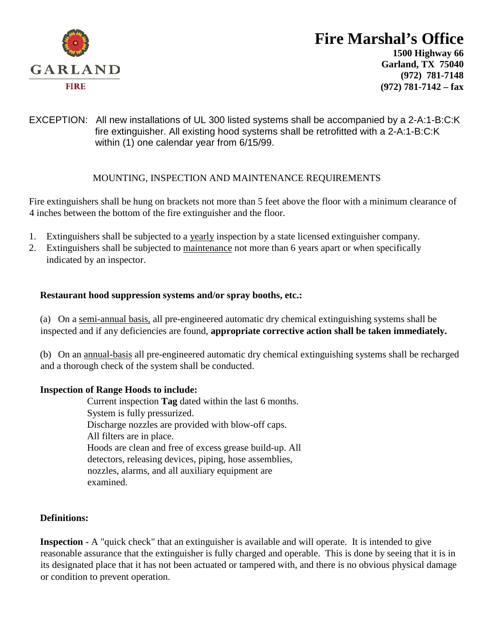

# **Fire Marshal's Office**

**1500 Highway 66 Garland, TX 75040 (972) 781-7148 (972) 781-7142 – fax**

#### EXCEPTION: All new installations of UL 300 listed systems shall be accompanied by a 2-A:1-B:C:K fire extinguisher. All existing hood systems shall be retrofitted with a 2-A:1-B:C:K within (1) one calendar year from 6/15/99.

#### MOUNTING, INSPECTION AND MAINTENANCE REQUIREMENTS

Fire extinguishers shall be hung on brackets not more than 5 feet above the floor with a minimum clearance of 4 inches between the bottom of the fire extinguisher and the floor.

- 1. Extinguishers shall be subjected to a yearly inspection by a state licensed extinguisher company.
- 2. Extinguishers shall be subjected to maintenance not more than 6 years apart or when specifically indicated by an inspector.

#### **Restaurant hood suppression systems and/or spray booths, etc.:**

(a) On a semi-annual basis, all pre-engineered automatic dry chemical extinguishing systems shall be inspected and if any deficiencies are found, **appropriate corrective action shall be taken immediately.**

(b) On an annual-basis all pre-engineered automatic dry chemical extinguishing systems shall be recharged and a thorough check of the system shall be conducted.

#### **Inspection of Range Hoods to include:**

Current inspection **Tag** dated within the last 6 months. System is fully pressurized. Discharge nozzles are provided with blow-off caps. All filters are in place. Hoods are clean and free of excess grease build-up. All detectors, releasing devices, piping, hose assemblies, nozzles, alarms, and all auxiliary equipment are examined.

#### **Definitions:**

**Inspection -** A "quick check" that an extinguisher is available and will operate. It is intended to give reasonable assurance that the extinguisher is fully charged and operable. This is done by seeing that it is in its designated place that it has not been actuated or tampered with, and there is no obvious physical damage or condition to prevent operation.